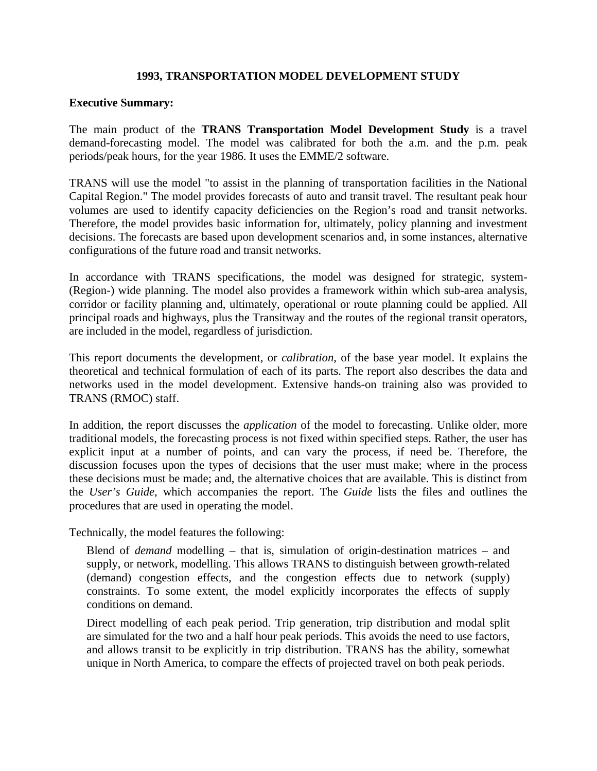## **1993, TRANSPORTATION MODEL DEVELOPMENT STUDY**

## **Executive Summary:**

The main product of the **TRANS Transportation Model Development Study** is a travel demand-forecasting model. The model was calibrated for both the a.m. and the p.m. peak periods/peak hours, for the year 1986. It uses the EMME/2 software.

TRANS will use the model "to assist in the planning of transportation facilities in the National Capital Region." The model provides forecasts of auto and transit travel. The resultant peak hour volumes are used to identify capacity deficiencies on the Region's road and transit networks. Therefore, the model provides basic information for, ultimately, policy planning and investment decisions. The forecasts are based upon development scenarios and, in some instances, alternative configurations of the future road and transit networks.

In accordance with TRANS specifications, the model was designed for strategic, system- (Region-) wide planning. The model also provides a framework within which sub-area analysis, corridor or facility planning and, ultimately, operational or route planning could be applied. All principal roads and highways, plus the Transitway and the routes of the regional transit operators, are included in the model, regardless of jurisdiction.

This report documents the development, or *calibration*, of the base year model. It explains the theoretical and technical formulation of each of its parts. The report also describes the data and networks used in the model development. Extensive hands-on training also was provided to TRANS (RMOC) staff.

In addition, the report discusses the *application* of the model to forecasting. Unlike older, more traditional models, the forecasting process is not fixed within specified steps. Rather, the user has explicit input at a number of points, and can vary the process, if need be. Therefore, the discussion focuses upon the types of decisions that the user must make; where in the process these decisions must be made; and, the alternative choices that are available. This is distinct from the *User's Guide*, which accompanies the report. The *Guide* lists the files and outlines the procedures that are used in operating the model.

Technically, the model features the following:

Blend of *demand* modelling – that is, simulation of origin-destination matrices – and supply, or network, modelling. This allows TRANS to distinguish between growth-related (demand) congestion effects, and the congestion effects due to network (supply) constraints. To some extent, the model explicitly incorporates the effects of supply conditions on demand.

Direct modelling of each peak period. Trip generation, trip distribution and modal split are simulated for the two and a half hour peak periods. This avoids the need to use factors, and allows transit to be explicitly in trip distribution. TRANS has the ability, somewhat unique in North America, to compare the effects of projected travel on both peak periods.